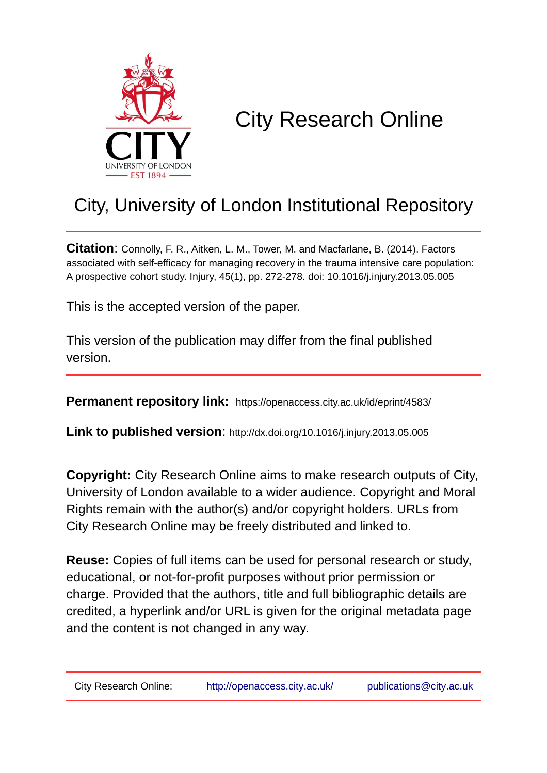

# City Research Online

## City, University of London Institutional Repository

**Citation**: Connolly, F. R., Aitken, L. M., Tower, M. and Macfarlane, B. (2014). Factors associated with self-efficacy for managing recovery in the trauma intensive care population: A prospective cohort study. Injury, 45(1), pp. 272-278. doi: 10.1016/j.injury.2013.05.005

This is the accepted version of the paper.

This version of the publication may differ from the final published version.

**Permanent repository link:** https://openaccess.city.ac.uk/id/eprint/4583/

**Link to published version**: http://dx.doi.org/10.1016/j.injury.2013.05.005

**Copyright:** City Research Online aims to make research outputs of City, University of London available to a wider audience. Copyright and Moral Rights remain with the author(s) and/or copyright holders. URLs from City Research Online may be freely distributed and linked to.

**Reuse:** Copies of full items can be used for personal research or study, educational, or not-for-profit purposes without prior permission or charge. Provided that the authors, title and full bibliographic details are credited, a hyperlink and/or URL is given for the original metadata page and the content is not changed in any way.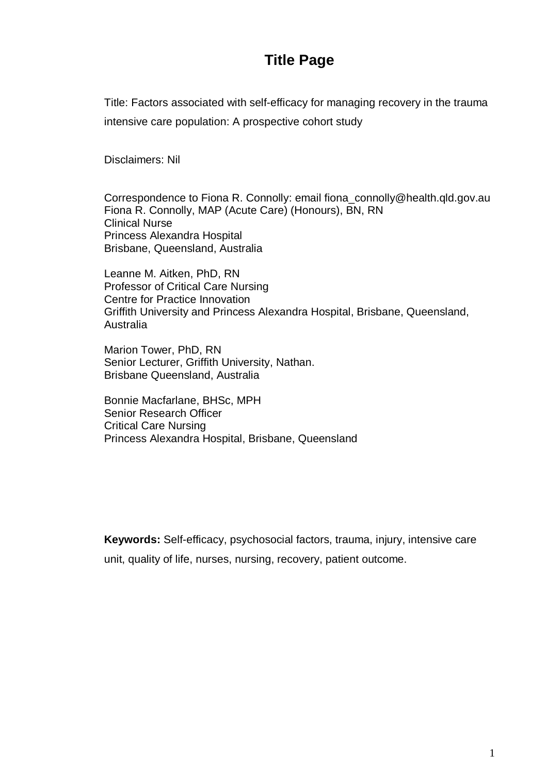## **Title Page**

Title: Factors associated with self-efficacy for managing recovery in the trauma intensive care population: A prospective cohort study

Disclaimers: Nil

Correspondence to Fiona R. Connolly: email fiona\_connolly@health.qld.gov.au Fiona R. Connolly, MAP (Acute Care) (Honours), BN, RN Clinical Nurse Princess Alexandra Hospital Brisbane, Queensland, Australia

Leanne M. Aitken, PhD, RN Professor of Critical Care Nursing Centre for Practice Innovation Griffith University and Princess Alexandra Hospital, Brisbane, Queensland, Australia

Marion Tower, PhD, RN Senior Lecturer, Griffith University, Nathan. Brisbane Queensland, Australia

Bonnie Macfarlane, BHSc, MPH Senior Research Officer Critical Care Nursing Princess Alexandra Hospital, Brisbane, Queensland

**Keywords:** Self-efficacy, psychosocial factors, trauma, injury, intensive care unit, quality of life, nurses, nursing, recovery, patient outcome.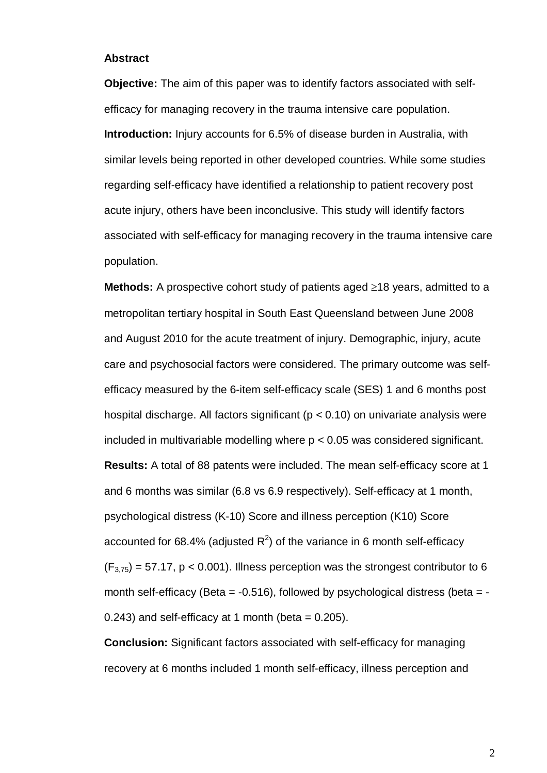#### **Abstract**

**Objective:** The aim of this paper was to identify factors associated with selfefficacy for managing recovery in the trauma intensive care population. **Introduction:** Injury accounts for 6.5% of disease burden in Australia, with similar levels being reported in other developed countries. While some studies regarding self-efficacy have identified a relationship to patient recovery post acute injury, others have been inconclusive. This study will identify factors associated with self-efficacy for managing recovery in the trauma intensive care population.

**Methods:** A prospective cohort study of patients aged ≥18 years, admitted to a metropolitan tertiary hospital in South East Queensland between June 2008 and August 2010 for the acute treatment of injury. Demographic, injury, acute care and psychosocial factors were considered. The primary outcome was selfefficacy measured by the 6-item self-efficacy scale (SES) 1 and 6 months post hospital discharge. All factors significant ( $p < 0.10$ ) on univariate analysis were included in multivariable modelling where p < 0.05 was considered significant. **Results:** A total of 88 patents were included. The mean self-efficacy score at 1 and 6 months was similar (6.8 vs 6.9 respectively). Self-efficacy at 1 month, psychological distress (K-10) Score and illness perception (K10) Score accounted for 68.4% (adjusted  $R^2$ ) of the variance in 6 month self-efficacy  $(F_{3,75})$  = 57.17, p < 0.001). Illness perception was the strongest contributor to 6 month self-efficacy (Beta =  $-0.516$ ), followed by psychological distress (beta =  $0.243$ ) and self-efficacy at 1 month (beta =  $0.205$ ).

**Conclusion:** Significant factors associated with self-efficacy for managing recovery at 6 months included 1 month self-efficacy, illness perception and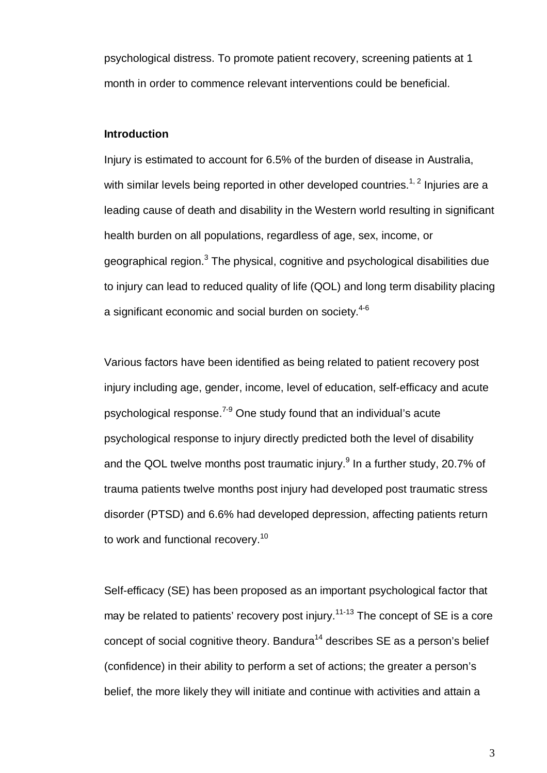psychological distress. To promote patient recovery, screening patients at 1 month in order to commence relevant interventions could be beneficial.

#### **Introduction**

Injury is estimated to account for 6.5% of the burden of disease in Australia, with similar levels being reported in other developed countries. $^{1,2}$  Injuries are a leading cause of death and disability in the Western world resulting in significant health burden on all populations, regardless of age, sex, income, or geographical region. $^3$  The physical, cognitive and psychological disabilities due to injury can lead to reduced quality of life (QOL) and long term disability placing a significant economic and social burden on society. 4-6

Various factors have been identified as being related to patient recovery post injury including age, gender, income, level of education, self-efficacy and acute psychological response.<sup>7-9</sup> One study found that an individual's acute psychological response to injury directly predicted both the level of disability and the QOL twelve months post traumatic injury.<sup>9</sup> In a further study, 20.7% of trauma patients twelve months post injury had developed post traumatic stress disorder (PTSD) and 6.6% had developed depression, affecting patients return to work and functional recovery.<sup>10</sup>

Self-efficacy (SE) has been proposed as an important psychological factor that may be related to patients' recovery post injury.<sup>11-13</sup> The concept of SE is a core concept of social cognitive theory. Bandura<sup>14</sup> describes  $SE$  as a person's belief (confidence) in their ability to perform a set of actions; the greater a person's belief, the more likely they will initiate and continue with activities and attain a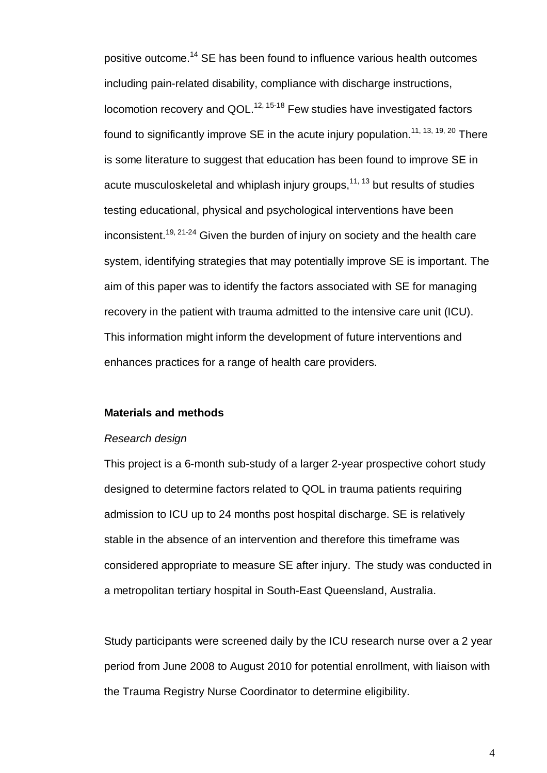positive outcome.<sup>14</sup> SE has been found to influence various health outcomes including pain-related disability, compliance with discharge instructions, locomotion recovery and QOL.<sup>12, 15-18</sup> Few studies have investigated factors found to significantly improve SE in the acute injury population.<sup>11, 13, 19, 20</sup> There is some literature to suggest that education has been found to improve SE in acute musculoskeletal and whiplash injury groups,<sup>11, 13</sup> but results of studies testing educational, physical and psychological interventions have been inconsistent.<sup>19, 21-24</sup> Given the burden of injury on society and the health care system, identifying strategies that may potentially improve SE is important. The aim of this paper was to identify the factors associated with SE for managing recovery in the patient with trauma admitted to the intensive care unit (ICU). This information might inform the development of future interventions and enhances practices for a range of health care providers.

#### **Materials and methods**

#### *Research design*

This project is a 6-month sub-study of a larger 2-year prospective cohort study designed to determine factors related to QOL in trauma patients requiring admission to ICU up to 24 months post hospital discharge. SE is relatively stable in the absence of an intervention and therefore this timeframe was considered appropriate to measure SE after injury. The study was conducted in a metropolitan tertiary hospital in South-East Queensland, Australia.

Study participants were screened daily by the ICU research nurse over a 2 year period from June 2008 to August 2010 for potential enrollment, with liaison with the Trauma Registry Nurse Coordinator to determine eligibility.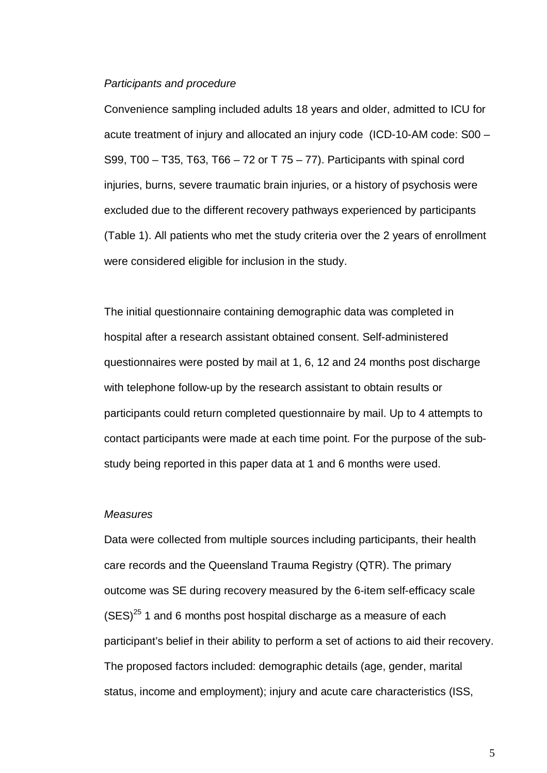#### *Participants and procedure*

Convenience sampling included adults 18 years and older, admitted to ICU for acute treatment of injury and allocated an injury code (ICD-10-AM code: S00 – S99, T00 – T35, T63, T66 – 72 or T 75 – 77). Participants with spinal cord injuries, burns, severe traumatic brain injuries, or a history of psychosis were excluded due to the different recovery pathways experienced by participants (Table 1). All patients who met the study criteria over the 2 years of enrollment were considered eligible for inclusion in the study.

The initial questionnaire containing demographic data was completed in hospital after a research assistant obtained consent. Self-administered questionnaires were posted by mail at 1, 6, 12 and 24 months post discharge with telephone follow-up by the research assistant to obtain results or participants could return completed questionnaire by mail. Up to 4 attempts to contact participants were made at each time point. For the purpose of the substudy being reported in this paper data at 1 and 6 months were used.

#### *Measures*

Data were collected from multiple sources including participants, their health care records and the Queensland Trauma Registry (QTR). The primary outcome was SE during recovery measured by the 6-item self-efficacy scale  $(SES)^{25}$  1 and 6 months post hospital discharge as a measure of each participant's belief in their ability to perform a set of actions to aid their recovery. The proposed factors included: demographic details (age, gender, marital status, income and employment); injury and acute care characteristics (ISS,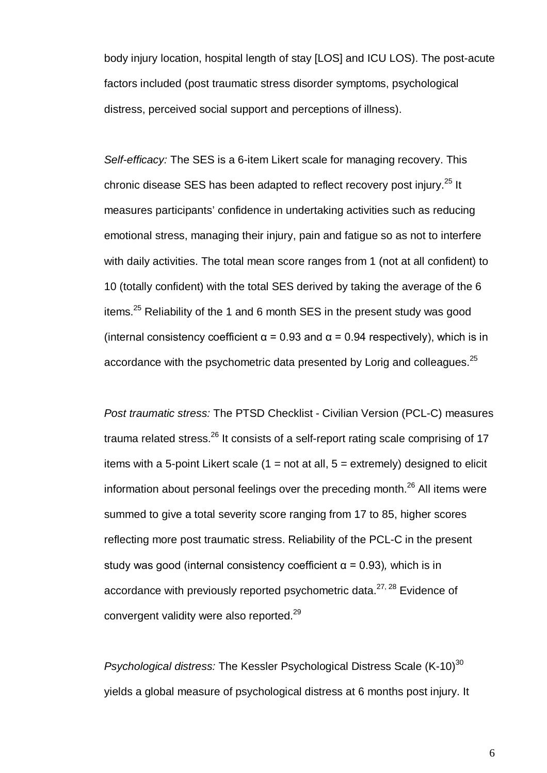body injury location, hospital length of stay [LOS] and ICU LOS). The post-acute factors included (post traumatic stress disorder symptoms, psychological distress, perceived social support and perceptions of illness).

*Self-efficacy:* The SES is a 6-item Likert scale for managing recovery. This chronic disease SES has been adapted to reflect recovery post injury.<sup>25</sup> It measures participants' confidence in undertaking activities such as reducing emotional stress, managing their injury, pain and fatigue so as not to interfere with daily activities. The total mean score ranges from 1 (not at all confident) to 10 (totally confident) with the total SES derived by taking the average of the 6 items.<sup>25</sup> Reliability of the 1 and 6 month SES in the present study was good (internal consistency coefficient  $\alpha$  = 0.93 and  $\alpha$  = 0.94 respectively), which is in accordance with the psychometric data presented by Lorig and colleagues. $^{25}$ 

*Post traumatic stress:* The PTSD Checklist - Civilian Version (PCL-C) measures trauma related stress.<sup>26</sup> It consists of a self-report rating scale comprising of 17 items with a 5-point Likert scale  $(1 = not at all, 5 = extremely)$  designed to elicit information about personal feelings over the preceding month.<sup>26</sup> All items were summed to give a total severity score ranging from 17 to 85, higher scores reflecting more post traumatic stress. Reliability of the PCL-C in the present study was good (internal consistency coefficient α = 0.93)*,* which is in accordance with previously reported psychometric data.<sup>27, 28</sup> Evidence of convergent validity were also reported.<sup>29</sup>

*Psychological distress:* The Kessler Psychological Distress Scale (K-10)<sup>30</sup> yields a global measure of psychological distress at 6 months post injury. It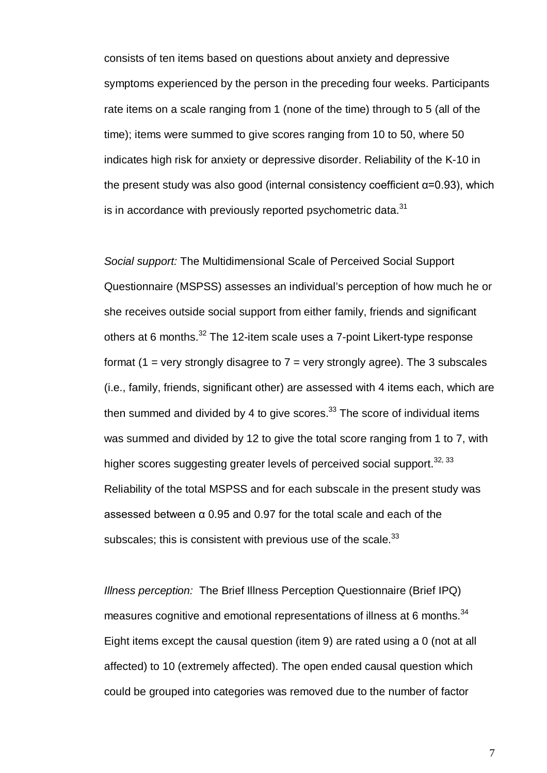consists of ten items based on questions about anxiety and depressive symptoms experienced by the person in the preceding four weeks. Participants rate items on a scale ranging from 1 (none of the time) through to 5 (all of the time); items were summed to give scores ranging from 10 to 50, where 50 indicates high risk for anxiety or depressive disorder. Reliability of the K-10 in the present study was also good (internal consistency coefficient  $α=0.93$ ), which is in accordance with previously reported psychometric data. $^{31}$ 

*Social support:* The Multidimensional Scale of Perceived Social Support Questionnaire (MSPSS) assesses an individual's perception of how much he or she receives outside social support from either family, friends and significant others at 6 months.<sup>32</sup> The 12-item scale uses a 7-point Likert-type response format (1 = very strongly disagree to  $7$  = very strongly agree). The 3 subscales (i.e., family, friends, significant other) are assessed with 4 items each, which are then summed and divided by 4 to give scores. $^{33}$  The score of individual items was summed and divided by 12 to give the total score ranging from 1 to 7, with higher scores suggesting greater levels of perceived social support.<sup>32, 33</sup> Reliability of the total MSPSS and for each subscale in the present study was assessed between α 0.95 and 0.97 for the total scale and each of the subscales; this is consistent with previous use of the scale. $^{33}$ 

*Illness perception:* The Brief Illness Perception Questionnaire (Brief IPQ) measures cognitive and emotional representations of illness at 6 months. $^{34}$ Eight items except the causal question (item 9) are rated using a 0 (not at all affected) to 10 (extremely affected). The open ended causal question which could be grouped into categories was removed due to the number of factor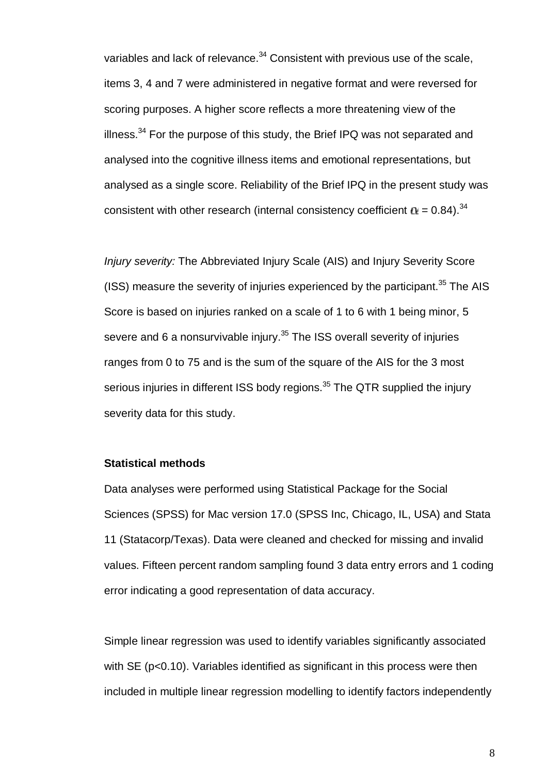variables and lack of relevance.<sup>34</sup> Consistent with previous use of the scale, items 3, 4 and 7 were administered in negative format and were reversed for scoring purposes. A higher score reflects a more threatening view of the illness. $^{34}$  For the purpose of this study, the Brief IPQ was not separated and analysed into the cognitive illness items and emotional representations, but analysed as a single score. Reliability of the Brief IPQ in the present study was consistent with other research (internal consistency coefficient  $\alpha = 0.84$ ).<sup>34</sup>

*Injury severity:* The Abbreviated Injury Scale (AIS) and Injury Severity Score (ISS) measure the severity of injuries experienced by the participant.<sup>35</sup> The AIS Score is based on injuries ranked on a scale of 1 to 6 with 1 being minor, 5 severe and 6 a nonsurvivable injury.<sup>35</sup> The ISS overall severity of injuries ranges from 0 to 75 and is the sum of the square of the AIS for the 3 most serious injuries in different ISS body regions.<sup>35</sup> The QTR supplied the injury severity data for this study.

#### **Statistical methods**

Data analyses were performed using Statistical Package for the Social Sciences (SPSS) for Mac version 17.0 (SPSS Inc, Chicago, IL, USA) and Stata 11 (Statacorp/Texas). Data were cleaned and checked for missing and invalid values. Fifteen percent random sampling found 3 data entry errors and 1 coding error indicating a good representation of data accuracy.

Simple linear regression was used to identify variables significantly associated with SE (p<0.10). Variables identified as significant in this process were then included in multiple linear regression modelling to identify factors independently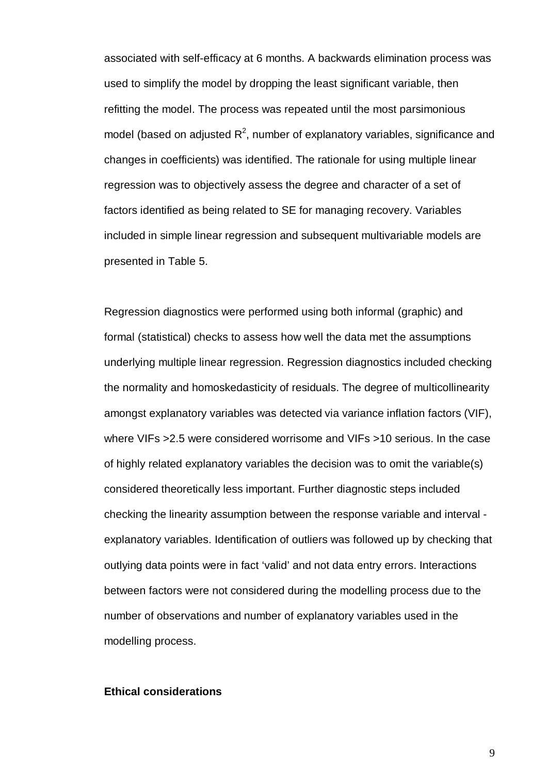associated with self-efficacy at 6 months. A backwards elimination process was used to simplify the model by dropping the least significant variable, then refitting the model. The process was repeated until the most parsimonious model (based on adjusted  $R^2$ , number of explanatory variables, significance and changes in coefficients) was identified. The rationale for using multiple linear regression was to objectively assess the degree and character of a set of factors identified as being related to SE for managing recovery. Variables included in simple linear regression and subsequent multivariable models are presented in Table 5.

Regression diagnostics were performed using both informal (graphic) and formal (statistical) checks to assess how well the data met the assumptions underlying multiple linear regression. Regression diagnostics included checking the normality and homoskedasticity of residuals. The degree of multicollinearity amongst explanatory variables was detected via variance inflation factors (VIF), where VIFs >2.5 were considered worrisome and VIFs >10 serious. In the case of highly related explanatory variables the decision was to omit the variable(s) considered theoretically less important. Further diagnostic steps included checking the linearity assumption between the response variable and interval explanatory variables. Identification of outliers was followed up by checking that outlying data points were in fact 'valid' and not data entry errors. Interactions between factors were not considered during the modelling process due to the number of observations and number of explanatory variables used in the modelling process.

#### **Ethical considerations**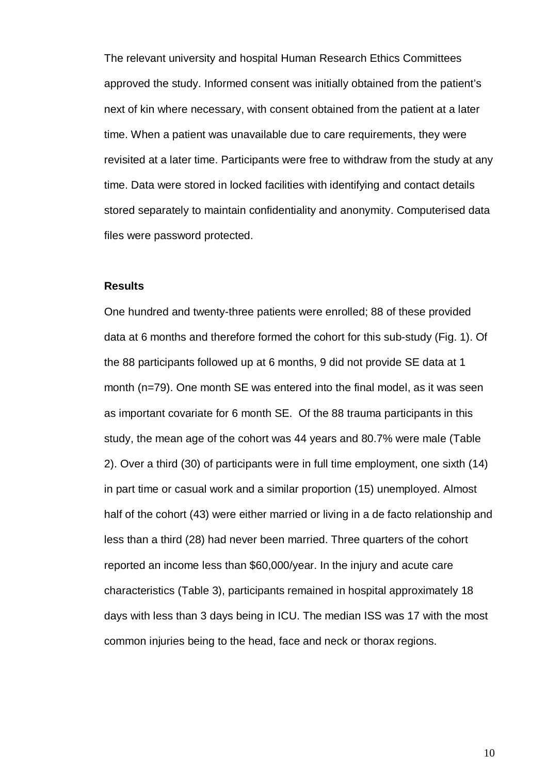The relevant university and hospital Human Research Ethics Committees approved the study. Informed consent was initially obtained from the patient's next of kin where necessary, with consent obtained from the patient at a later time. When a patient was unavailable due to care requirements, they were revisited at a later time. Participants were free to withdraw from the study at any time. Data were stored in locked facilities with identifying and contact details stored separately to maintain confidentiality and anonymity. Computerised data files were password protected.

#### **Results**

One hundred and twenty-three patients were enrolled; 88 of these provided data at 6 months and therefore formed the cohort for this sub-study (Fig. 1). Of the 88 participants followed up at 6 months, 9 did not provide SE data at 1 month (n=79). One month SE was entered into the final model, as it was seen as important covariate for 6 month SE. Of the 88 trauma participants in this study, the mean age of the cohort was 44 years and 80.7% were male (Table 2). Over a third (30) of participants were in full time employment, one sixth (14) in part time or casual work and a similar proportion (15) unemployed. Almost half of the cohort (43) were either married or living in a de facto relationship and less than a third (28) had never been married. Three quarters of the cohort reported an income less than \$60,000/year. In the injury and acute care characteristics (Table 3), participants remained in hospital approximately 18 days with less than 3 days being in ICU. The median ISS was 17 with the most common injuries being to the head, face and neck or thorax regions.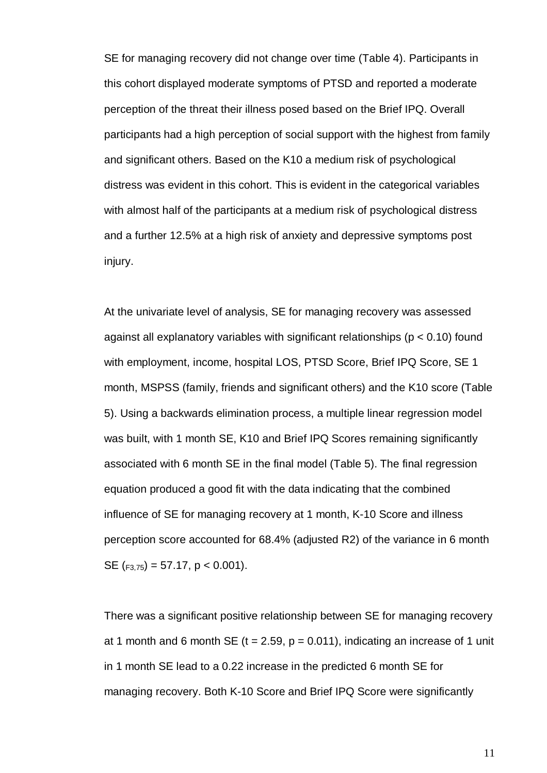SE for managing recovery did not change over time (Table 4). Participants in this cohort displayed moderate symptoms of PTSD and reported a moderate perception of the threat their illness posed based on the Brief IPQ. Overall participants had a high perception of social support with the highest from family and significant others. Based on the K10 a medium risk of psychological distress was evident in this cohort. This is evident in the categorical variables with almost half of the participants at a medium risk of psychological distress and a further 12.5% at a high risk of anxiety and depressive symptoms post injury.

At the univariate level of analysis, SE for managing recovery was assessed against all explanatory variables with significant relationships ( $p < 0.10$ ) found with employment, income, hospital LOS, PTSD Score, Brief IPQ Score, SE 1 month, MSPSS (family, friends and significant others) and the K10 score (Table 5). Using a backwards elimination process, a multiple linear regression model was built, with 1 month SE, K10 and Brief IPQ Scores remaining significantly associated with 6 month SE in the final model (Table 5). The final regression equation produced a good fit with the data indicating that the combined influence of SE for managing recovery at 1 month, K-10 Score and illness perception score accounted for 68.4% (adjusted R2) of the variance in 6 month SE  $(F3.75) = 57.17$ , p < 0.001).

There was a significant positive relationship between SE for managing recovery at 1 month and 6 month SE (t = 2.59,  $p = 0.011$ ), indicating an increase of 1 unit in 1 month SE lead to a 0.22 increase in the predicted 6 month SE for managing recovery. Both K-10 Score and Brief IPQ Score were significantly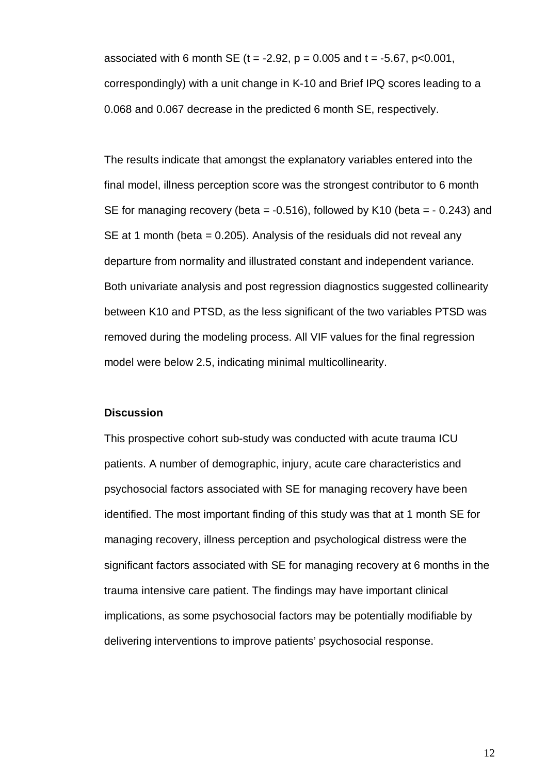associated with 6 month SE  $(t = -2.92, p = 0.005, q = 5.67, p < 0.001)$ correspondingly) with a unit change in K-10 and Brief IPQ scores leading to a 0.068 and 0.067 decrease in the predicted 6 month SE, respectively.

The results indicate that amongst the explanatory variables entered into the final model, illness perception score was the strongest contributor to 6 month SE for managing recovery (beta = -0.516), followed by K10 (beta = - 0.243) and SE at 1 month (beta = 0.205). Analysis of the residuals did not reveal any departure from normality and illustrated constant and independent variance. Both univariate analysis and post regression diagnostics suggested collinearity between K10 and PTSD, as the less significant of the two variables PTSD was removed during the modeling process. All VIF values for the final regression model were below 2.5, indicating minimal multicollinearity.

#### **Discussion**

This prospective cohort sub-study was conducted with acute trauma ICU patients. A number of demographic, injury, acute care characteristics and psychosocial factors associated with SE for managing recovery have been identified. The most important finding of this study was that at 1 month SE for managing recovery, illness perception and psychological distress were the significant factors associated with SE for managing recovery at 6 months in the trauma intensive care patient. The findings may have important clinical implications, as some psychosocial factors may be potentially modifiable by delivering interventions to improve patients' psychosocial response.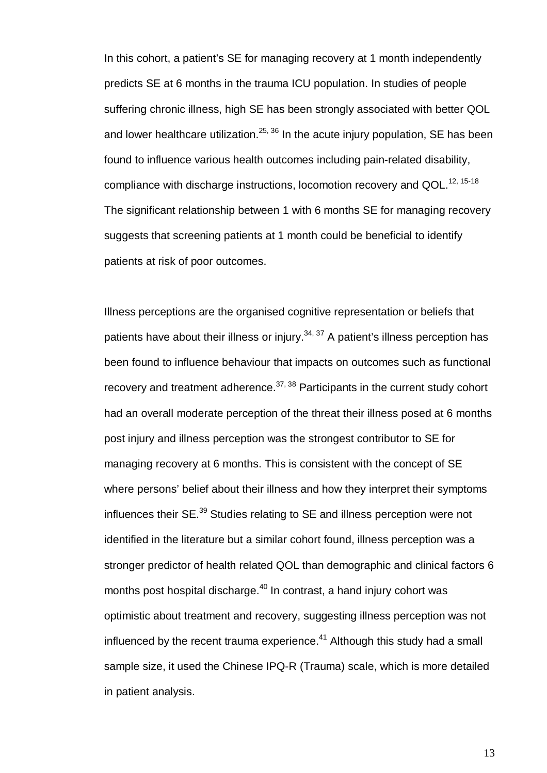In this cohort, a patient's SE for managing recovery at 1 month independently predicts SE at 6 months in the trauma ICU population. In studies of people suffering chronic illness, high SE has been strongly associated with better QOL and lower healthcare utilization.<sup>25, 36</sup> In the acute injury population, SE has been found to influence various health outcomes including pain-related disability, compliance with discharge instructions, locomotion recovery and QOL.<sup>12, 15-18</sup> The significant relationship between 1 with 6 months SE for managing recovery suggests that screening patients at 1 month could be beneficial to identify patients at risk of poor outcomes.

Illness perceptions are the organised cognitive representation or beliefs that patients have about their illness or injury.<sup>34, 37</sup> A patient's illness perception has been found to influence behaviour that impacts on outcomes such as functional recovery and treatment adherence.<sup>37, 38</sup> Participants in the current study cohort had an overall moderate perception of the threat their illness posed at 6 months post injury and illness perception was the strongest contributor to SE for managing recovery at 6 months. This is consistent with the concept of SE where persons' belief about their illness and how they interpret their symptoms influences their SE.<sup>39</sup> Studies relating to SE and illness perception were not identified in the literature but a similar cohort found, illness perception was a stronger predictor of health related QOL than demographic and clinical factors 6 months post hospital discharge.<sup>40</sup> In contrast, a hand injury cohort was optimistic about treatment and recovery, suggesting illness perception was not influenced by the recent trauma experience.<sup>41</sup> Although this study had a small sample size, it used the Chinese IPQ-R (Trauma) scale, which is more detailed in patient analysis.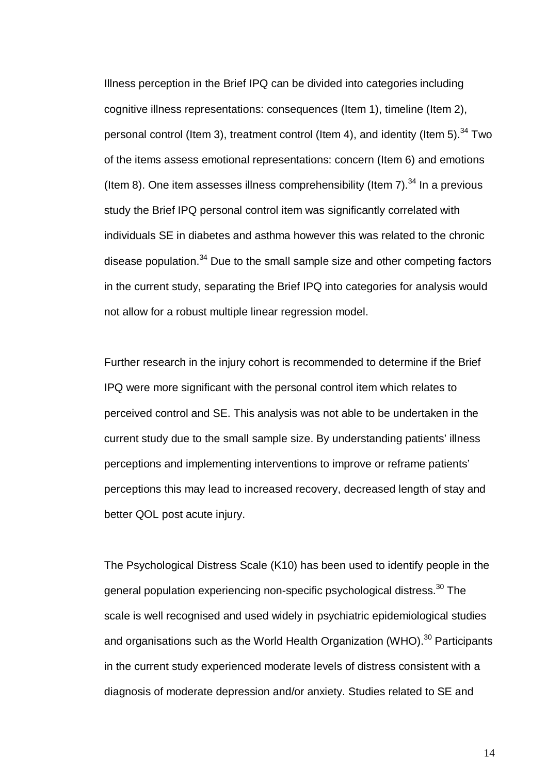Illness perception in the Brief IPQ can be divided into categories including cognitive illness representations: consequences (Item 1), timeline (Item 2), personal control (Item 3), treatment control (Item 4), and identity (Item 5).<sup>34</sup> Two of the items assess emotional representations: concern (Item 6) and emotions (Item 8). One item assesses illness comprehensibility (Item  $7$ ).<sup>34</sup> In a previous study the Brief IPQ personal control item was significantly correlated with individuals SE in diabetes and asthma however this was related to the chronic disease population.<sup>34</sup> Due to the small sample size and other competing factors in the current study, separating the Brief IPQ into categories for analysis would not allow for a robust multiple linear regression model.

Further research in the injury cohort is recommended to determine if the Brief IPQ were more significant with the personal control item which relates to perceived control and SE. This analysis was not able to be undertaken in the current study due to the small sample size. By understanding patients' illness perceptions and implementing interventions to improve or reframe patients' perceptions this may lead to increased recovery, decreased length of stay and better QOL post acute injury.

The Psychological Distress Scale (K10) has been used to identify people in the general population experiencing non-specific psychological distress.<sup>30</sup> The scale is well recognised and used widely in psychiatric epidemiological studies and organisations such as the World Health Organization (WHO).<sup>30</sup> Participants in the current study experienced moderate levels of distress consistent with a diagnosis of moderate depression and/or anxiety. Studies related to SE and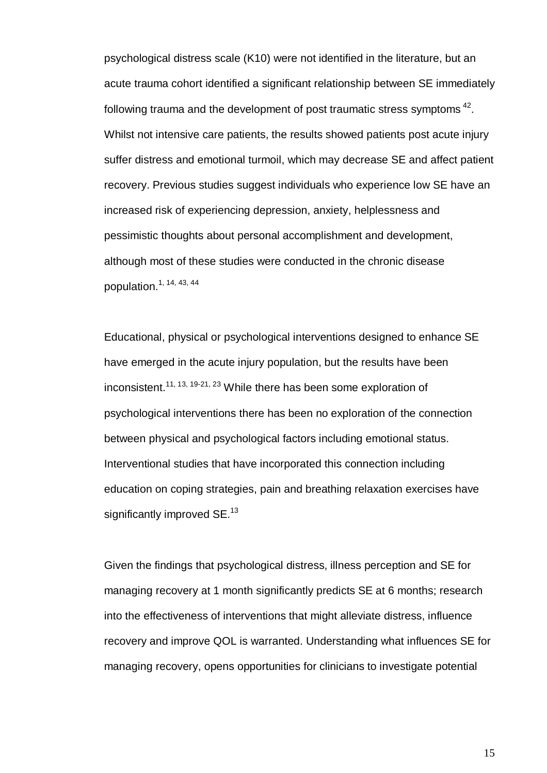psychological distress scale (K10) were not identified in the literature, but an acute trauma cohort identified a significant relationship between SE immediately following trauma and the development of post traumatic stress symptoms  $^{42}$ . Whilst not intensive care patients, the results showed patients post acute injury suffer distress and emotional turmoil, which may decrease SE and affect patient recovery. Previous studies suggest individuals who experience low SE have an increased risk of experiencing depression, anxiety, helplessness and pessimistic thoughts about personal accomplishment and development, although most of these studies were conducted in the chronic disease population. 1, 14, 43, 44

Educational, physical or psychological interventions designed to enhance SE have emerged in the acute injury population, but the results have been inconsistent.<sup>11, 13, 19-21, 23</sup> While there has been some exploration of psychological interventions there has been no exploration of the connection between physical and psychological factors including emotional status. Interventional studies that have incorporated this connection including education on coping strategies, pain and breathing relaxation exercises have significantly improved SE. $^{\rm 13}$ 

Given the findings that psychological distress, illness perception and SE for managing recovery at 1 month significantly predicts SE at 6 months; research into the effectiveness of interventions that might alleviate distress, influence recovery and improve QOL is warranted. Understanding what influences SE for managing recovery, opens opportunities for clinicians to investigate potential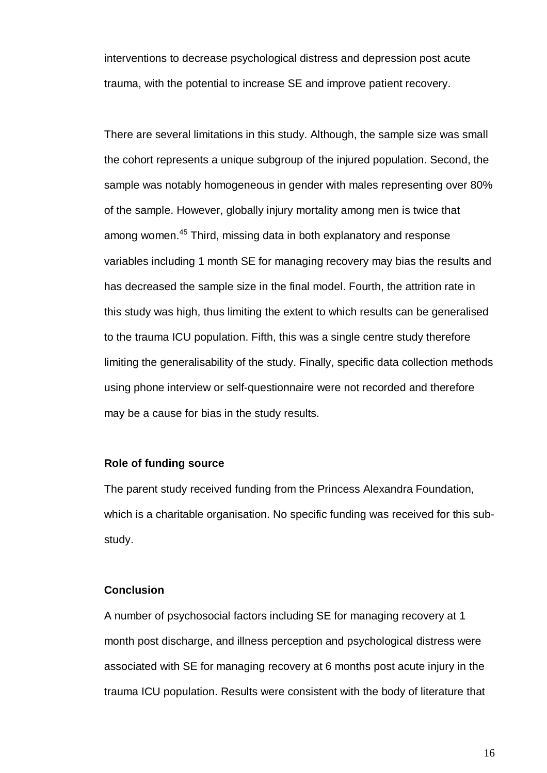interventions to decrease psychological distress and depression post acute trauma, with the potential to increase SE and improve patient recovery.

There are several limitations in this study. Although, the sample size was small the cohort represents a unique subgroup of the injured population. Second, the sample was notably homogeneous in gender with males representing over 80% of the sample. However, globally injury mortality among men is twice that among women. <sup>45</sup> Third, missing data in both explanatory and response variables including 1 month SE for managing recovery may bias the results and has decreased the sample size in the final model. Fourth, the attrition rate in this study was high, thus limiting the extent to which results can be generalised to the trauma ICU population. Fifth, this was a single centre study therefore limiting the generalisability of the study. Finally, specific data collection methods using phone interview or self-questionnaire were not recorded and therefore may be a cause for bias in the study results.

#### **Role of funding source**

The parent study received funding from the Princess Alexandra Foundation, which is a charitable organisation. No specific funding was received for this substudy.

#### **Conclusion**

A number of psychosocial factors including SE for managing recovery at 1 month post discharge, and illness perception and psychological distress were associated with SE for managing recovery at 6 months post acute injury in the trauma ICU population. Results were consistent with the body of literature that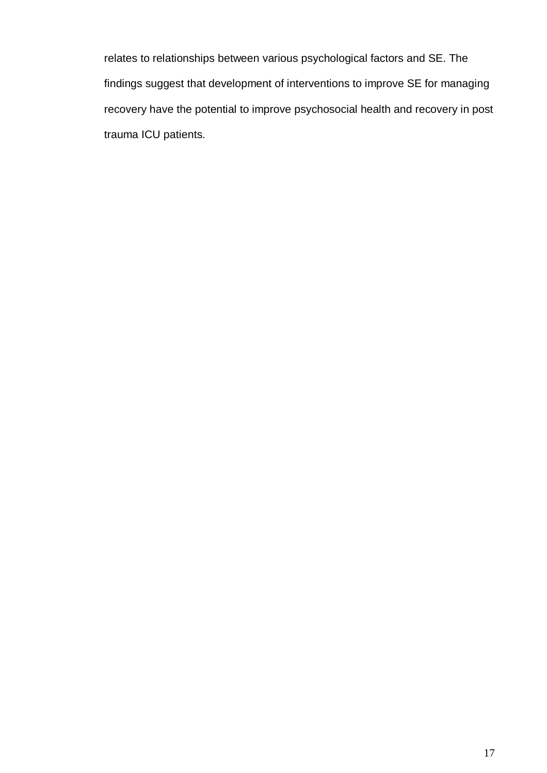relates to relationships between various psychological factors and SE. The findings suggest that development of interventions to improve SE for managing recovery have the potential to improve psychosocial health and recovery in post trauma ICU patients.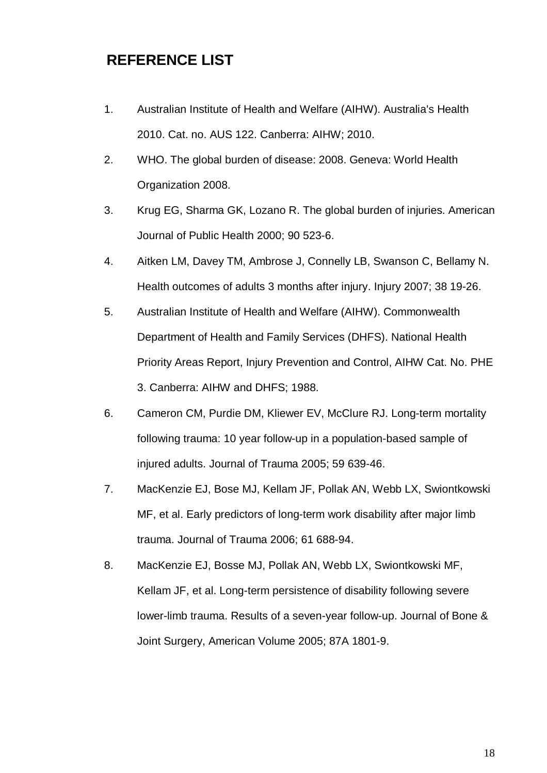## **REFERENCE LIST**

- 1. Australian Institute of Health and Welfare (AIHW). Australia's Health 2010. Cat. no. AUS 122. Canberra: AIHW; 2010.
- 2. WHO. The global burden of disease: 2008. Geneva: World Health Organization 2008.
- 3. Krug EG, Sharma GK, Lozano R. The global burden of injuries. American Journal of Public Health 2000; 90 523-6.
- 4. Aitken LM, Davey TM, Ambrose J, Connelly LB, Swanson C, Bellamy N. Health outcomes of adults 3 months after injury. Injury 2007; 38 19-26.
- 5. Australian Institute of Health and Welfare (AIHW). Commonwealth Department of Health and Family Services (DHFS). National Health Priority Areas Report, Injury Prevention and Control, AIHW Cat. No. PHE 3. Canberra: AIHW and DHFS; 1988.
- 6. Cameron CM, Purdie DM, Kliewer EV, McClure RJ. Long-term mortality following trauma: 10 year follow-up in a population-based sample of injured adults. Journal of Trauma 2005; 59 639-46.
- 7. MacKenzie EJ, Bose MJ, Kellam JF, Pollak AN, Webb LX, Swiontkowski MF, et al. Early predictors of long-term work disability after major limb trauma. Journal of Trauma 2006; 61 688-94.
- 8. MacKenzie EJ, Bosse MJ, Pollak AN, Webb LX, Swiontkowski MF, Kellam JF, et al. Long-term persistence of disability following severe lower-limb trauma. Results of a seven-year follow-up. Journal of Bone & Joint Surgery, American Volume 2005; 87A 1801-9.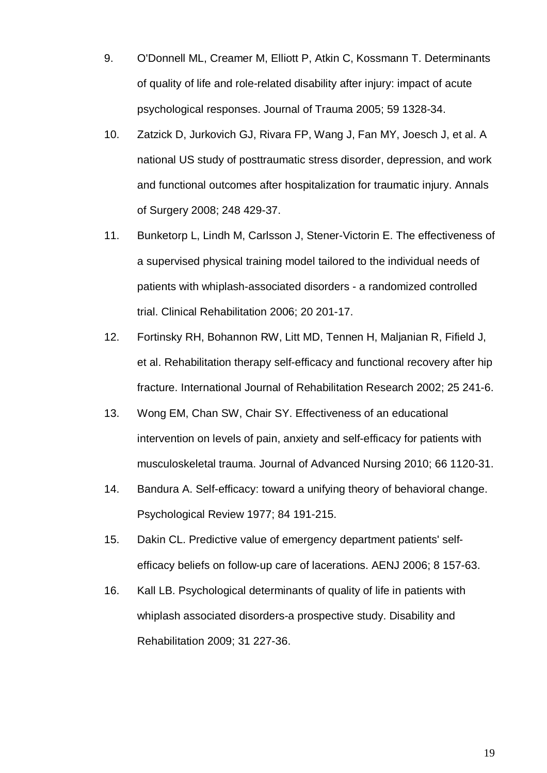- 9. O'Donnell ML, Creamer M, Elliott P, Atkin C, Kossmann T. Determinants of quality of life and role-related disability after injury: impact of acute psychological responses. Journal of Trauma 2005; 59 1328-34.
- 10. Zatzick D, Jurkovich GJ, Rivara FP, Wang J, Fan MY, Joesch J, et al. A national US study of posttraumatic stress disorder, depression, and work and functional outcomes after hospitalization for traumatic injury. Annals of Surgery 2008; 248 429-37.
- 11. Bunketorp L, Lindh M, Carlsson J, Stener-Victorin E. The effectiveness of a supervised physical training model tailored to the individual needs of patients with whiplash-associated disorders - a randomized controlled trial. Clinical Rehabilitation 2006; 20 201-17.
- 12. Fortinsky RH, Bohannon RW, Litt MD, Tennen H, Maljanian R, Fifield J, et al. Rehabilitation therapy self-efficacy and functional recovery after hip fracture. International Journal of Rehabilitation Research 2002; 25 241-6.
- 13. Wong EM, Chan SW, Chair SY. Effectiveness of an educational intervention on levels of pain, anxiety and self-efficacy for patients with musculoskeletal trauma. Journal of Advanced Nursing 2010; 66 1120-31.
- 14. Bandura A. Self-efficacy: toward a unifying theory of behavioral change. Psychological Review 1977; 84 191-215.
- 15. Dakin CL. Predictive value of emergency department patients' selfefficacy beliefs on follow-up care of lacerations. AENJ 2006; 8 157-63.
- 16. Kall LB. Psychological determinants of quality of life in patients with whiplash associated disorders-a prospective study. Disability and Rehabilitation 2009; 31 227-36.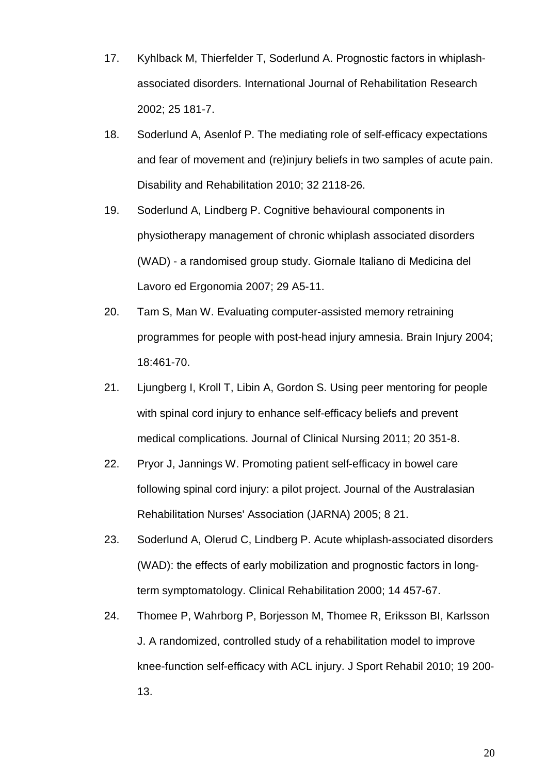- 17. Kyhlback M, Thierfelder T, Soderlund A. Prognostic factors in whiplashassociated disorders. International Journal of Rehabilitation Research 2002; 25 181-7.
- 18. Soderlund A, Asenlof P. The mediating role of self-efficacy expectations and fear of movement and (re)injury beliefs in two samples of acute pain. Disability and Rehabilitation 2010; 32 2118-26.
- 19. Soderlund A, Lindberg P. Cognitive behavioural components in physiotherapy management of chronic whiplash associated disorders (WAD) - a randomised group study. Giornale Italiano di Medicina del Lavoro ed Ergonomia 2007; 29 A5-11.
- 20. Tam S, Man W. Evaluating computer-assisted memory retraining programmes for people with post-head injury amnesia. Brain Injury 2004; 18:461-70.
- 21. Ljungberg I, Kroll T, Libin A, Gordon S. Using peer mentoring for people with spinal cord injury to enhance self-efficacy beliefs and prevent medical complications. Journal of Clinical Nursing 2011; 20 351-8.
- 22. Pryor J, Jannings W. Promoting patient self-efficacy in bowel care following spinal cord injury: a pilot project. Journal of the Australasian Rehabilitation Nurses' Association (JARNA) 2005; 8 21.
- 23. Soderlund A, Olerud C, Lindberg P. Acute whiplash-associated disorders (WAD): the effects of early mobilization and prognostic factors in longterm symptomatology. Clinical Rehabilitation 2000; 14 457-67.
- 24. Thomee P, Wahrborg P, Borjesson M, Thomee R, Eriksson BI, Karlsson J. A randomized, controlled study of a rehabilitation model to improve knee-function self-efficacy with ACL injury. J Sport Rehabil 2010; 19 200- 13.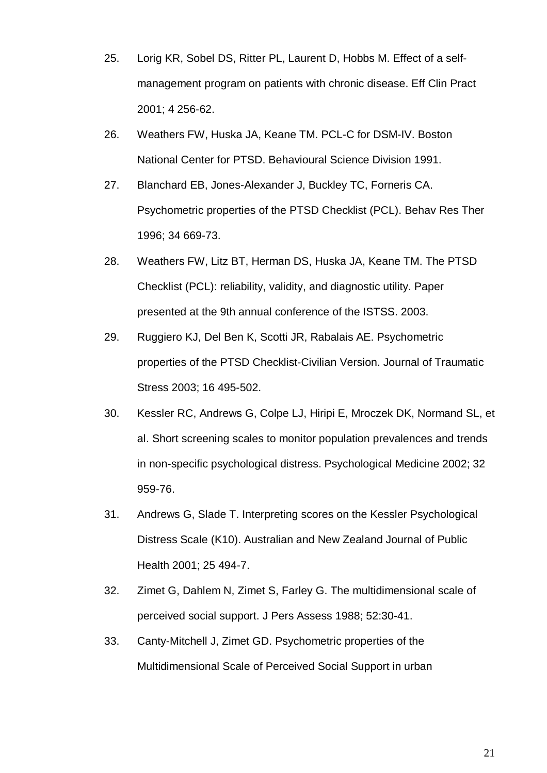- 25. Lorig KR, Sobel DS, Ritter PL, Laurent D, Hobbs M. Effect of a selfmanagement program on patients with chronic disease. Eff Clin Pract 2001; 4 256-62.
- 26. Weathers FW, Huska JA, Keane TM. PCL-C for DSM-IV. Boston National Center for PTSD. Behavioural Science Division 1991.
- 27. Blanchard EB, Jones-Alexander J, Buckley TC, Forneris CA. Psychometric properties of the PTSD Checklist (PCL). Behav Res Ther 1996; 34 669-73.
- 28. Weathers FW, Litz BT, Herman DS, Huska JA, Keane TM. The PTSD Checklist (PCL): reliability, validity, and diagnostic utility. Paper presented at the 9th annual conference of the ISTSS. 2003.
- 29. Ruggiero KJ, Del Ben K, Scotti JR, Rabalais AE. Psychometric properties of the PTSD Checklist-Civilian Version. Journal of Traumatic Stress 2003; 16 495-502.
- 30. Kessler RC, Andrews G, Colpe LJ, Hiripi E, Mroczek DK, Normand SL, et al. Short screening scales to monitor population prevalences and trends in non-specific psychological distress. Psychological Medicine 2002; 32 959-76.
- 31. Andrews G, Slade T. Interpreting scores on the Kessler Psychological Distress Scale (K10). Australian and New Zealand Journal of Public Health 2001; 25 494-7.
- 32. Zimet G, Dahlem N, Zimet S, Farley G. The multidimensional scale of perceived social support. J Pers Assess 1988; 52:30-41.
- 33. Canty-Mitchell J, Zimet GD. Psychometric properties of the Multidimensional Scale of Perceived Social Support in urban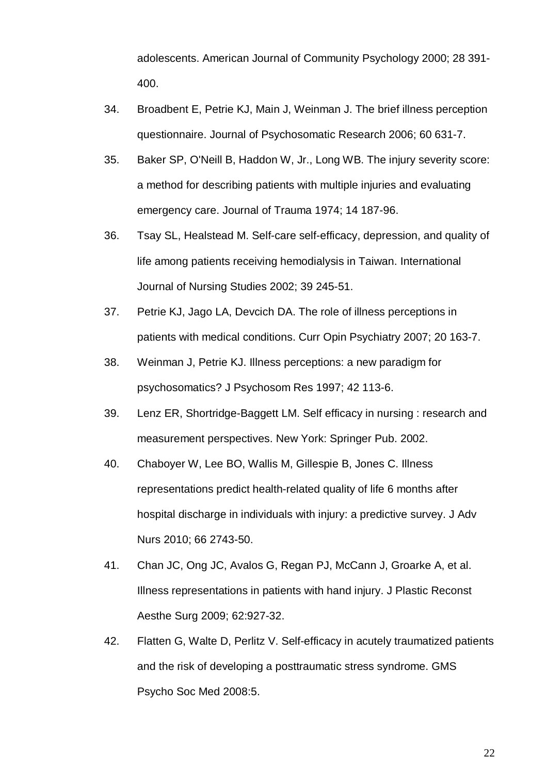adolescents. American Journal of Community Psychology 2000; 28 391- 400.

- 34. Broadbent E, Petrie KJ, Main J, Weinman J. The brief illness perception questionnaire. Journal of Psychosomatic Research 2006; 60 631-7.
- 35. Baker SP, O'Neill B, Haddon W, Jr., Long WB. The injury severity score: a method for describing patients with multiple injuries and evaluating emergency care. Journal of Trauma 1974; 14 187-96.
- 36. Tsay SL, Healstead M. Self-care self-efficacy, depression, and quality of life among patients receiving hemodialysis in Taiwan. International Journal of Nursing Studies 2002; 39 245-51.
- 37. Petrie KJ, Jago LA, Devcich DA. The role of illness perceptions in patients with medical conditions. Curr Opin Psychiatry 2007: 20 163-7.
- 38. Weinman J, Petrie KJ. Illness perceptions: a new paradigm for psychosomatics? J Psychosom Res 1997; 42 113-6.
- 39. Lenz ER, Shortridge-Baggett LM. Self efficacy in nursing : research and measurement perspectives. New York: Springer Pub. 2002.
- 40. Chaboyer W, Lee BO, Wallis M, Gillespie B, Jones C. Illness representations predict health-related quality of life 6 months after hospital discharge in individuals with injury: a predictive survey. J Adv Nurs 2010; 66 2743-50.
- 41. Chan JC, Ong JC, Avalos G, Regan PJ, McCann J, Groarke A, et al. Illness representations in patients with hand injury. J Plastic Reconst Aesthe Surg 2009; 62:927-32.
- 42. Flatten G, Walte D, Perlitz V. Self-efficacy in acutely traumatized patients and the risk of developing a posttraumatic stress syndrome. GMS Psycho Soc Med 2008:5.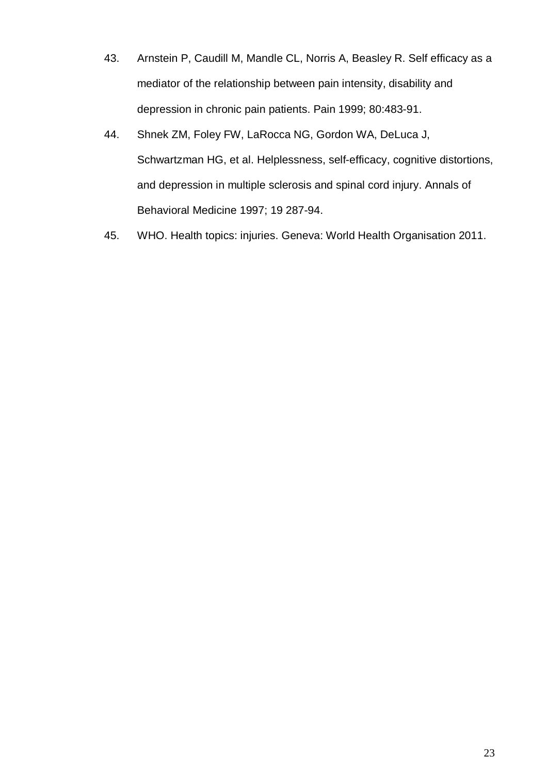- 43. Arnstein P, Caudill M, Mandle CL, Norris A, Beasley R. Self efficacy as a mediator of the relationship between pain intensity, disability and depression in chronic pain patients. Pain 1999; 80:483-91.
- 44. Shnek ZM, Foley FW, LaRocca NG, Gordon WA, DeLuca J, Schwartzman HG, et al. Helplessness, self-efficacy, cognitive distortions, and depression in multiple sclerosis and spinal cord injury. Annals of Behavioral Medicine 1997; 19 287-94.
- 45. WHO. Health topics: injuries. Geneva: World Health Organisation 2011.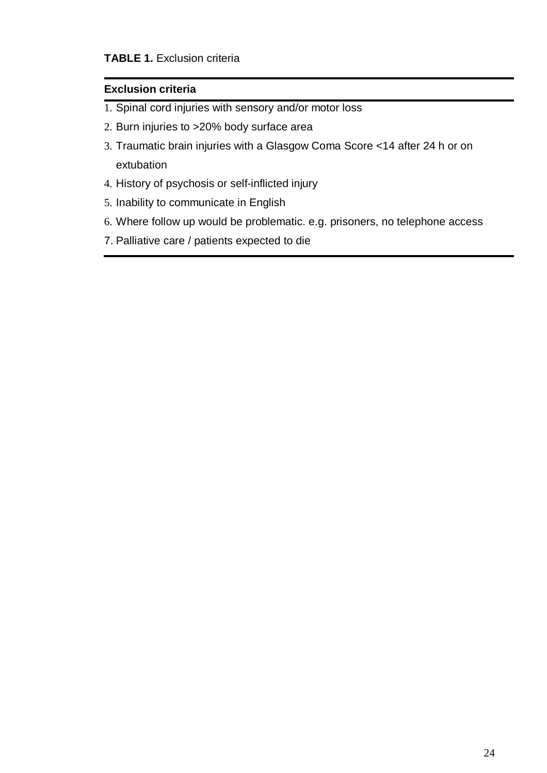#### **TABLE 1.** Exclusion criteria

#### **Exclusion criteria**

- 1. Spinal cord injuries with sensory and/or motor loss
- 2. Burn injuries to >20% body surface area
- 3. Traumatic brain injuries with a Glasgow Coma Score <14 after 24 h or on extubation
- 4. History of psychosis or self-inflicted injury
- 5. Inability to communicate in English
- 6. Where follow up would be problematic. e.g. prisoners, no telephone access
- 7. Palliative care / patients expected to die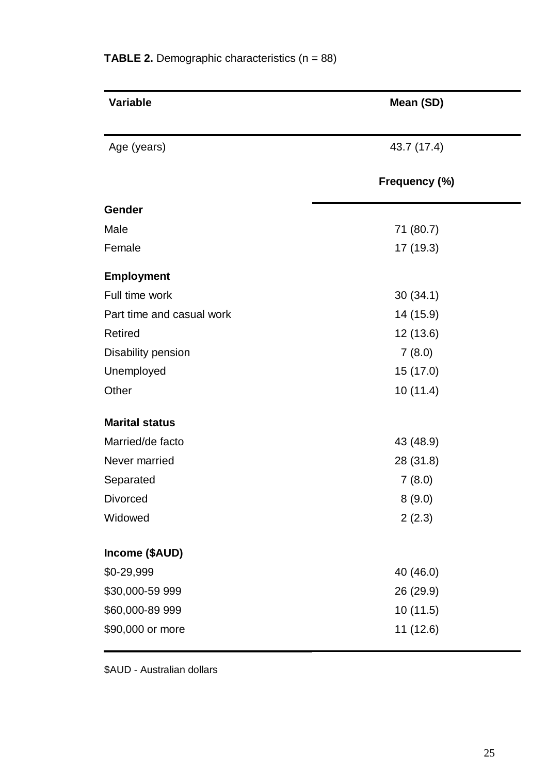| Variable                  | Mean (SD)     |
|---------------------------|---------------|
| Age (years)               | 43.7 (17.4)   |
|                           | Frequency (%) |
| Gender                    |               |
| Male                      | 71 (80.7)     |
| Female                    | 17 (19.3)     |
| <b>Employment</b>         |               |
| Full time work            | 30(34.1)      |
| Part time and casual work | 14 (15.9)     |
| <b>Retired</b>            | 12 (13.6)     |
| Disability pension        | 7(8.0)        |
| Unemployed                | 15 (17.0)     |
| Other                     | 10(11.4)      |
| <b>Marital status</b>     |               |
| Married/de facto          | 43 (48.9)     |
| Never married             | 28 (31.8)     |
| Separated                 | 7(8.0)        |
| <b>Divorced</b>           | 8(9.0)        |
| Widowed                   | 2(2.3)        |
| Income (\$AUD)            |               |
| \$0-29,999                | 40 (46.0)     |
| \$30,000-59 999           | 26 (29.9)     |
| \$60,000-89 999           | 10(11.5)      |
| \$90,000 or more          | 11(12.6)      |

\$AUD - Australian dollars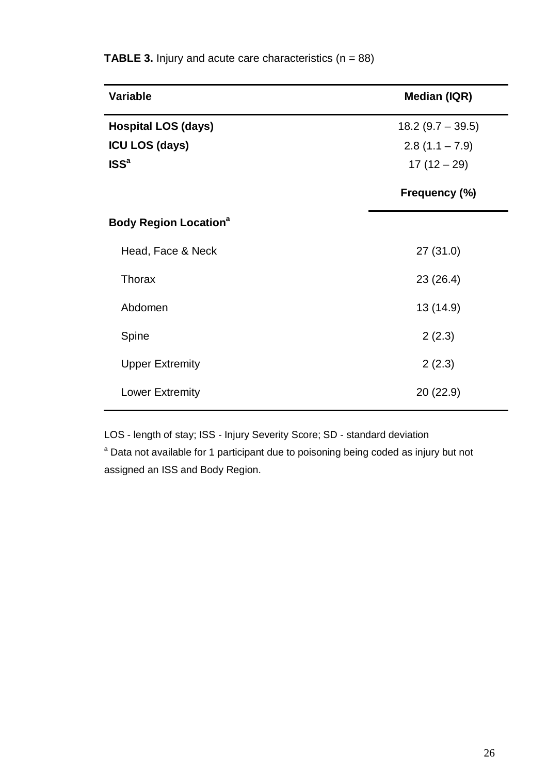| Variable                                | Median (IQR)        |
|-----------------------------------------|---------------------|
| <b>Hospital LOS (days)</b>              | $18.2$ (9.7 – 39.5) |
| <b>ICU LOS (days)</b>                   | $2.8(1.1 - 7.9)$    |
| ISS <sup>a</sup>                        | $17(12-29)$         |
|                                         | Frequency (%)       |
| <b>Body Region Location<sup>a</sup></b> |                     |
| Head, Face & Neck                       | 27(31.0)            |
| Thorax                                  | 23(26.4)            |
| Abdomen                                 | 13 (14.9)           |
| Spine                                   | 2(2.3)              |
| <b>Upper Extremity</b>                  | 2(2.3)              |
| <b>Lower Extremity</b>                  | 20 (22.9)           |

**TABLE 3.** Injury and acute care characteristics  $(n = 88)$ 

LOS - length of stay; ISS - Injury Severity Score; SD - standard deviation <sup>a</sup> Data not available for 1 participant due to poisoning being coded as injury but not assigned an ISS and Body Region.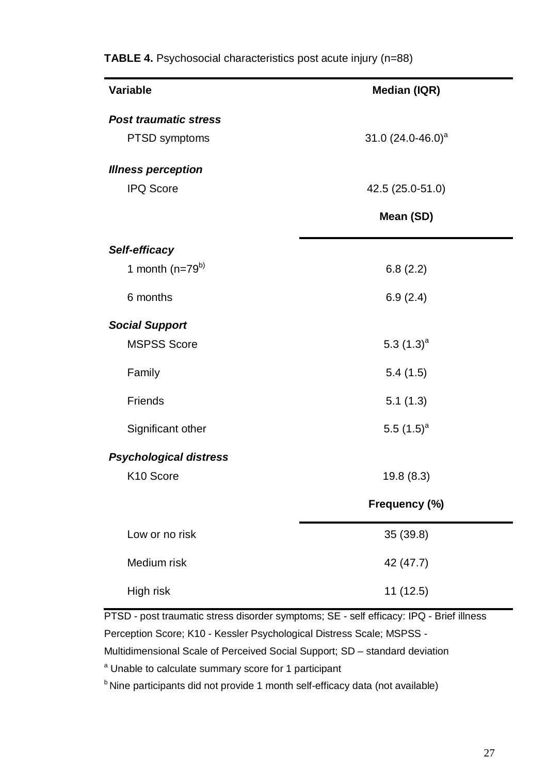| <b>Variable</b>               | <b>Median (IQR)</b>    |
|-------------------------------|------------------------|
| <b>Post traumatic stress</b>  |                        |
| PTSD symptoms                 | 31.0 $(24.0 - 46.0)^a$ |
| <b>Illness perception</b>     |                        |
| <b>IPQ Score</b>              | 42.5 (25.0-51.0)       |
|                               | Mean (SD)              |
| Self-efficacy                 |                        |
| 1 month $(n=79^{b})$          | 6.8(2.2)               |
| 6 months                      | 6.9(2.4)               |
| <b>Social Support</b>         |                        |
| <b>MSPSS Score</b>            | 5.3 $(1.3)^a$          |
| Family                        | 5.4(1.5)               |
| Friends                       | 5.1(1.3)               |
| Significant other             | 5.5 $(1.5)^a$          |
| <b>Psychological distress</b> |                        |
| K10 Score                     | 19.8(8.3)              |
|                               | Frequency (%)          |
| Low or no risk                | 35 (39.8)              |
| Medium risk                   | 42 (47.7)              |
| High risk                     | 11(12.5)               |

**TABLE 4.** Psychosocial characteristics post acute injury (n=88)

PTSD - post traumatic stress disorder symptoms; SE - self efficacy: IPQ - Brief illness

Perception Score; K10 - Kessler Psychological Distress Scale; MSPSS -

Multidimensional Scale of Perceived Social Support; SD – standard deviation

<sup>a</sup> Unable to calculate summary score for 1 participant

<sup>b</sup> Nine participants did not provide 1 month self-efficacy data (not available)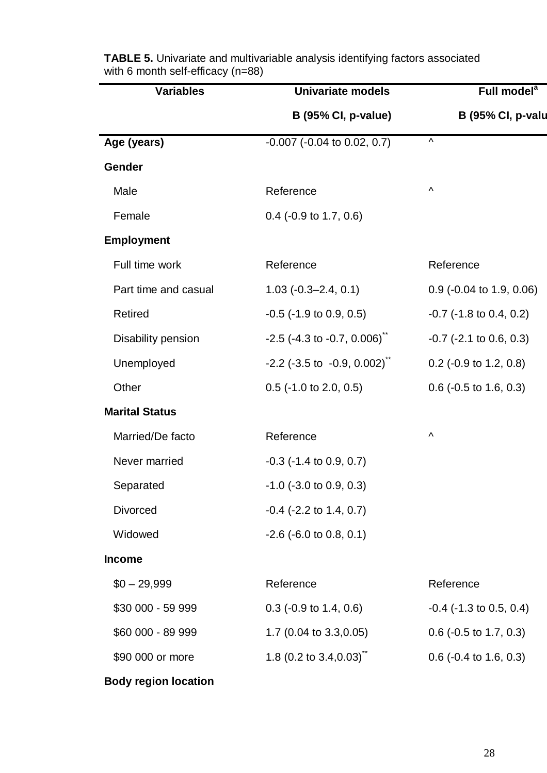| <b>Variables</b>      | <b>Univariate models</b>                      | Full model <sup>a</sup>      |
|-----------------------|-----------------------------------------------|------------------------------|
|                       | <b>B</b> (95% CI, p-value)                    | <b>B</b> (95% CI, p-valu     |
| Age (years)           | $-0.007$ ( $-0.04$ to 0.02, 0.7)              | $\boldsymbol{\wedge}$        |
| Gender                |                                               |                              |
| Male                  | Reference                                     | Λ                            |
| Female                | 0.4 (-0.9 to 1.7, 0.6)                        |                              |
| <b>Employment</b>     |                                               |                              |
| Full time work        | Reference                                     | Reference                    |
| Part time and casual  | $1.03$ (-0.3-2.4, 0.1)                        | 0.9 (-0.04 to 1.9, 0.06)     |
| <b>Retired</b>        | $-0.5$ ( $-1.9$ to 0.9, 0.5)                  | $-0.7$ ( $-1.8$ to 0.4, 0.2) |
| Disability pension    | $-2.5$ (-4.3 to -0.7, 0.006) <sup>**</sup>    | $-0.7$ ( $-2.1$ to 0.6, 0.3) |
| Unemployed            | $-2.2$ (-3.5 to $-0.9, 0.002$ ) <sup>**</sup> | $0.2$ (-0.9 to 1.2, 0.8)     |
| Other                 | $0.5$ (-1.0 to 2.0, 0.5)                      | $0.6$ (-0.5 to 1.6, 0.3)     |
| <b>Marital Status</b> |                                               |                              |
| Married/De facto      | Reference                                     | Λ                            |
| Never married         | $-0.3$ ( $-1.4$ to 0.9, 0.7)                  |                              |
| Separated             | $-1.0$ ( $-3.0$ to 0.9, 0.3)                  |                              |
| <b>Divorced</b>       | $-0.4$ ( $-2.2$ to 1.4, 0.7)                  |                              |
| Widowed               | $-2.6$ ( $-6.0$ to 0.8, 0.1)                  |                              |
| <b>Income</b>         |                                               |                              |
| $$0 - 29,999$         | Reference                                     | Reference                    |
| \$30 000 - 59 999     | $0.3$ (-0.9 to 1.4, 0.6)                      | $-0.4$ ( $-1.3$ to 0.5, 0.4) |
| \$60 000 - 89 999     | 1.7 (0.04 to 3.3,0.05)                        | $0.6$ (-0.5 to 1.7, 0.3)     |
| \$90 000 or more      | 1.8 $(0.2 \text{ to } 3.4, 0.03)^{11}$        | $0.6$ (-0.4 to 1.6, 0.3)     |
|                       |                                               |                              |

**TABLE 5.** Univariate and multivariable analysis identifying factors associated with 6 month self-efficacy (n=88)

### **Body region location**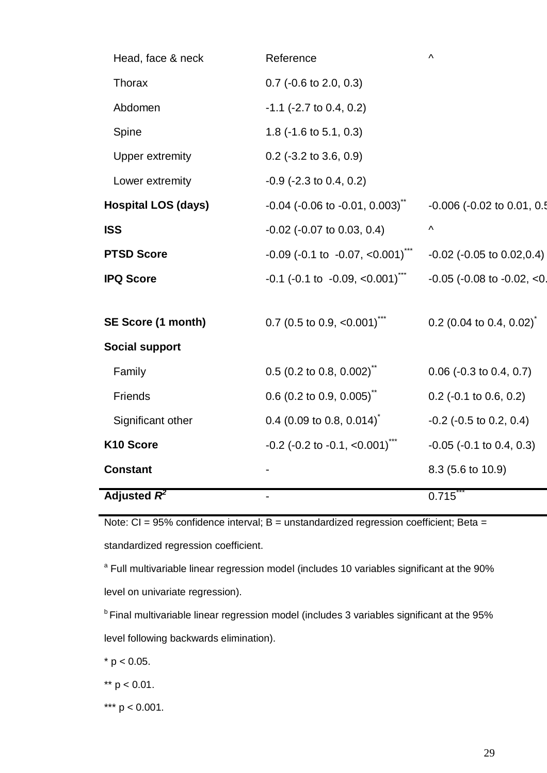| Adjusted $\boldsymbol{R^2}$ |                                                          | 0.715                                 |
|-----------------------------|----------------------------------------------------------|---------------------------------------|
| <b>Constant</b>             |                                                          | 8.3 (5.6 to 10.9)                     |
| K10 Score                   | $-0.2$ ( $-0.2$ to $-0.1$ , $< 0.001$ ) <sup>***</sup>   | $-0.05$ ( $-0.1$ to 0.4, 0.3)         |
| Significant other           | 0.4 (0.09 to 0.8, 0.014) <sup>*</sup>                    | $-0.2$ ( $-0.5$ to 0.2, 0.4)          |
| Friends                     | $0.6$ (0.2 to 0.9, 0.005) <sup>**</sup>                  | $0.2$ (-0.1 to 0.6, 0.2)              |
| Family                      | $0.5$ (0.2 to 0.8, 0.002) <sup>**</sup>                  | $0.06$ (-0.3 to 0.4, 0.7)             |
| <b>Social support</b>       |                                                          |                                       |
| SE Score (1 month)          | 0.7 (0.5 to 0.9, $\lt$ 0.001)***                         | 0.2 (0.04 to 0.4, 0.02) <sup>*</sup>  |
| <b>IPQ Score</b>            | $-0.1$ ( $-0.1$ to $-0.09$ , $< 0.001$ ) <sup>***</sup>  | $-0.05$ ( $-0.08$ to $-0.02$ , $<$ 0. |
| <b>PTSD Score</b>           | $-0.09$ ( $-0.1$ to $-0.07$ , $< 0.001$ ) <sup>***</sup> | $-0.02$ ( $-0.05$ to $0.02, 0.4$ )    |
| <b>ISS</b>                  | $-0.02$ ( $-0.07$ to 0.03, 0.4)                          | $\boldsymbol{\wedge}$                 |
| <b>Hospital LOS (days)</b>  | $-0.04$ ( $-0.06$ to $-0.01$ , $0.003$ ) <sup>**</sup>   | -0.006 (-0.02 to 0.01, 0.5            |
| Lower extremity             | $-0.9$ ( $-2.3$ to 0.4, 0.2)                             |                                       |
| <b>Upper extremity</b>      | $0.2$ (-3.2 to 3.6, 0.9)                                 |                                       |
| Spine                       | 1.8 (-1.6 to 5.1, 0.3)                                   |                                       |
| Abdomen                     | $-1.1$ ( $-2.7$ to 0.4, 0.2)                             |                                       |
| Thorax                      | $0.7$ (-0.6 to 2.0, 0.3)                                 |                                       |
| Head, face & neck           | Reference                                                | $\boldsymbol{\wedge}$                 |

Note:  $CI = 95\%$  confidence interval;  $B =$  unstandardized regression coefficient; Beta = standardized regression coefficient.

<sup>a</sup> Full multivariable linear regression model (includes 10 variables significant at the 90% level on univariate regression).

<sup>b</sup> Final multivariable linear regression model (includes 3 variables significant at the 95% level following backwards elimination).

 $*$  p < 0.05.

\*\*  $p < 0.01$ .

\*\*\*  $p < 0.001$ .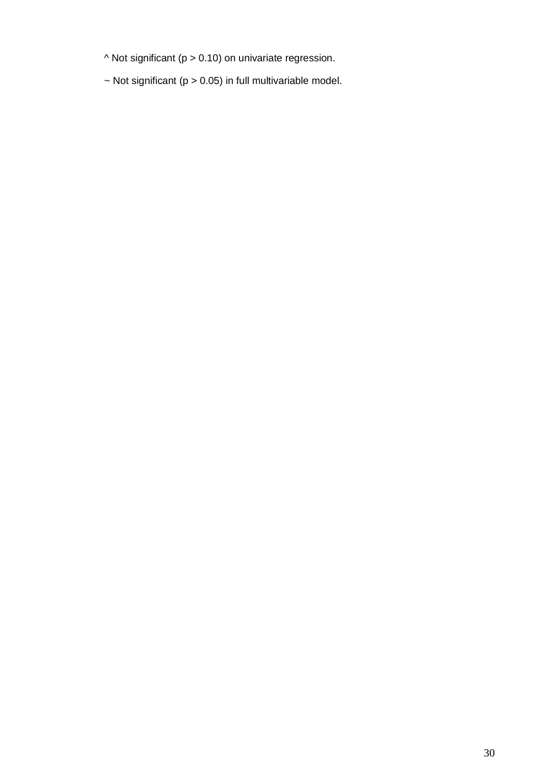- ^ Not significant (p > 0.10) on univariate regression.
- $\sim$  Not significant (p  $>$  0.05) in full multivariable model.